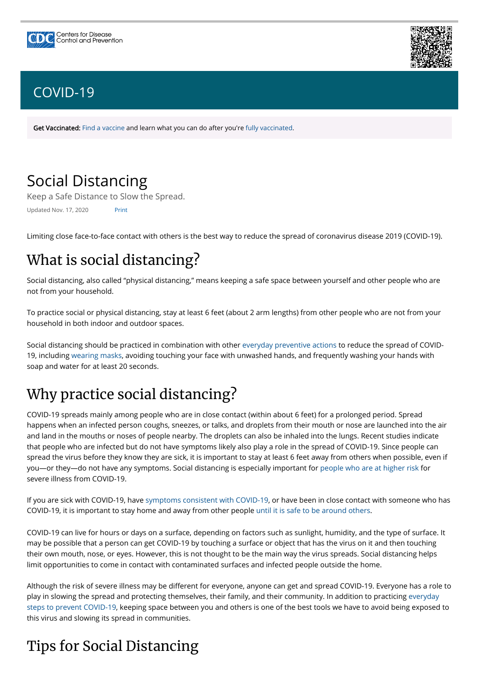# Social Distancing

Keep a Safe Distance to Slow the Spread.

Updated Nov. 17, 2020 Print

Limiting close face-to-face contact with others is the best way to reduce the spread of coronavirus disease 2019 (COVID-19).

# What is social distancing?

Social distancing, also called "physical distancing," means keeping a safe space between yourself and other people who are not from your household.

To practice social or physical distancing, stay at least 6 feet (about 2 arm lengths) from other people who are not from your household in both indoor and outdoor spaces.

Social distancing should be practiced in combination with other [everyday preventive actions](https://www.cdc.gov/coronavirus/2019-ncov/prevent-getting-sick/prevention.html) to reduce the spread of COVID-19, including [wearing masks](https://www.cdc.gov/coronavirus/2019-ncov/prevent-getting-sick/diy-cloth-face-coverings.html), avoiding touching your face with unwashed hands, and frequently washing your hands with soap and water for at least 20 seconds.

# Why practice social distancing?

COVID-19 spreads mainly among people who are in close contact (within about 6 feet) for a prolonged period. Spread happens when an infected person coughs, sneezes, or talks, and droplets from their mouth or nose are launched into the air and land in the mouths or noses of people nearby. The droplets can also be inhaled into the lungs. Recent studies indicate that people who are infected but do not have symptoms likely also play a role in the spread of COVID-19. Since people can spread the virus before they know they are sick, it is important to stay at least 6 feet away from others when possible, even if you—or they—do not have any symptoms. Social distancing is especially important for [people who are at higher risk](https://www.cdc.gov/coronavirus/2019-ncov/need-extra-precautions/people-at-higher-risk.html) for severe illness from COVID-19.

Although the risk of severe illness may be different for everyone, anyone can get and spread COVID-19. Everyone has a role to play in slowing the spread and protecting themselves, their family, and their community. In addition to practicing everyday [steps to prevent COVID-19, keeping space between you and others is one of the best tools we have to avoid being exposed](https://www.cdc.gov/coronavirus/2019-ncov/prevent-getting-sick/prevention.html) to this virus and slowing its spread in communities.

If you are sick with COVID-19, have [symptoms consistent with COVID-19,](https://www.cdc.gov/coronavirus/2019-ncov/symptoms-testing/symptoms.html) or have been in close contact with someone who has COVID-19, it is important to stay home and away from other people [until it is safe to be around others](https://www.cdc.gov/coronavirus/2019-ncov/if-you-are-sick/quarantine-isolation.html).

COVID-19 can live for hours or days on a surface, depending on factors such as sunlight, humidity, and the type of surface. It may be possible that a person can get COVID-19 by touching a surface or object that has the virus on it and then touching their own mouth, nose, or eyes. However, this is not thought to be the main way the virus spreads. Social distancing helps limit opportunities to come in contact with contaminated surfaces and infected people outside the home.

# Tips for Social Distancing





# [COVID-19](https://www.cdc.gov/coronavirus/2019-nCoV/index.html)

Get Vaccinated: Find a [vaccine](https://www.cdc.gov/coronavirus/2019-ncov/vaccines/How-Do-I-Get-a-COVID-19-Vaccine.html) and learn what you can do after you're fully [vaccinated.](https://www.cdc.gov/coronavirus/2019-ncov/vaccines/fully-vaccinated.html)